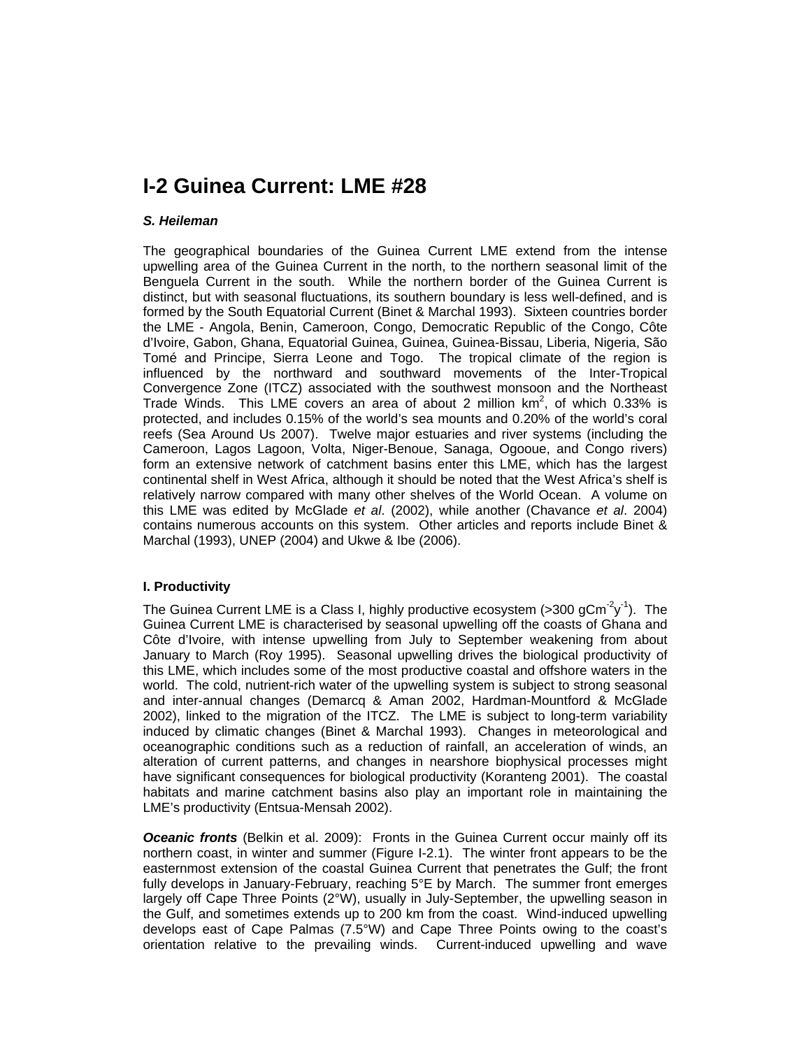# **I-2 Guinea Current: LME #28**

#### *S. Heileman*

The geographical boundaries of the Guinea Current LME extend from the intense upwelling area of the Guinea Current in the north, to the northern seasonal limit of the Benguela Current in the south. While the northern border of the Guinea Current is distinct, but with seasonal fluctuations, its southern boundary is less well-defined, and is formed by the South Equatorial Current (Binet & Marchal 1993). Sixteen countries border the LME - Angola, Benin, Cameroon, Congo, Democratic Republic of the Congo, Côte d'Ivoire, Gabon, Ghana, Equatorial Guinea, Guinea, Guinea-Bissau, Liberia, Nigeria, São Tomé and Principe, Sierra Leone and Togo. The tropical climate of the region is influenced by the northward and southward movements of the Inter-Tropical Convergence Zone (ITCZ) associated with the southwest monsoon and the Northeast Trade Winds. This LME covers an area of about 2 million  $km^2$ , of which 0.33% is protected, and includes 0.15% of the world's sea mounts and 0.20% of the world's coral reefs (Sea Around Us 2007). Twelve major estuaries and river systems (including the Cameroon, Lagos Lagoon, Volta, Niger-Benoue, Sanaga, Ogooue, and Congo rivers) form an extensive network of catchment basins enter this LME, which has the largest continental shelf in West Africa, although it should be noted that the West Africa's shelf is relatively narrow compared with many other shelves of the World Ocean. A volume on this LME was edited by McGlade *et al*. (2002), while another (Chavance *et al*. 2004) contains numerous accounts on this system. Other articles and reports include Binet & Marchal (1993), UNEP (2004) and Ukwe & Ibe (2006).

### **I. Productivity**

The Guinea Current LME is a Class I, highly productive ecosystem (>300 gCm<sup>-2</sup>y<sup>-1</sup>). The Guinea Current LME is characterised by seasonal upwelling off the coasts of Ghana and Côte d'Ivoire, with intense upwelling from July to September weakening from about January to March (Roy 1995). Seasonal upwelling drives the biological productivity of this LME, which includes some of the most productive coastal and offshore waters in the world. The cold, nutrient-rich water of the upwelling system is subject to strong seasonal and inter-annual changes (Demarcq & Aman 2002, Hardman-Mountford & McGlade 2002), linked to the migration of the ITCZ. The LME is subject to long-term variability induced by climatic changes (Binet & Marchal 1993). Changes in meteorological and oceanographic conditions such as a reduction of rainfall, an acceleration of winds, an alteration of current patterns, and changes in nearshore biophysical processes might have significant consequences for biological productivity (Koranteng 2001). The coastal habitats and marine catchment basins also play an important role in maintaining the LME's productivity (Entsua-Mensah 2002).

*Oceanic fronts* (Belkin et al. 2009): Fronts in the Guinea Current occur mainly off its northern coast, in winter and summer (Figure I-2.1). The winter front appears to be the easternmost extension of the coastal Guinea Current that penetrates the Gulf; the front fully develops in January-February, reaching 5°E by March. The summer front emerges largely off Cape Three Points (2°W), usually in July-September, the upwelling season in the Gulf, and sometimes extends up to 200 km from the coast. Wind-induced upwelling develops east of Cape Palmas (7.5°W) and Cape Three Points owing to the coast's orientation relative to the prevailing winds. Current-induced upwelling and wave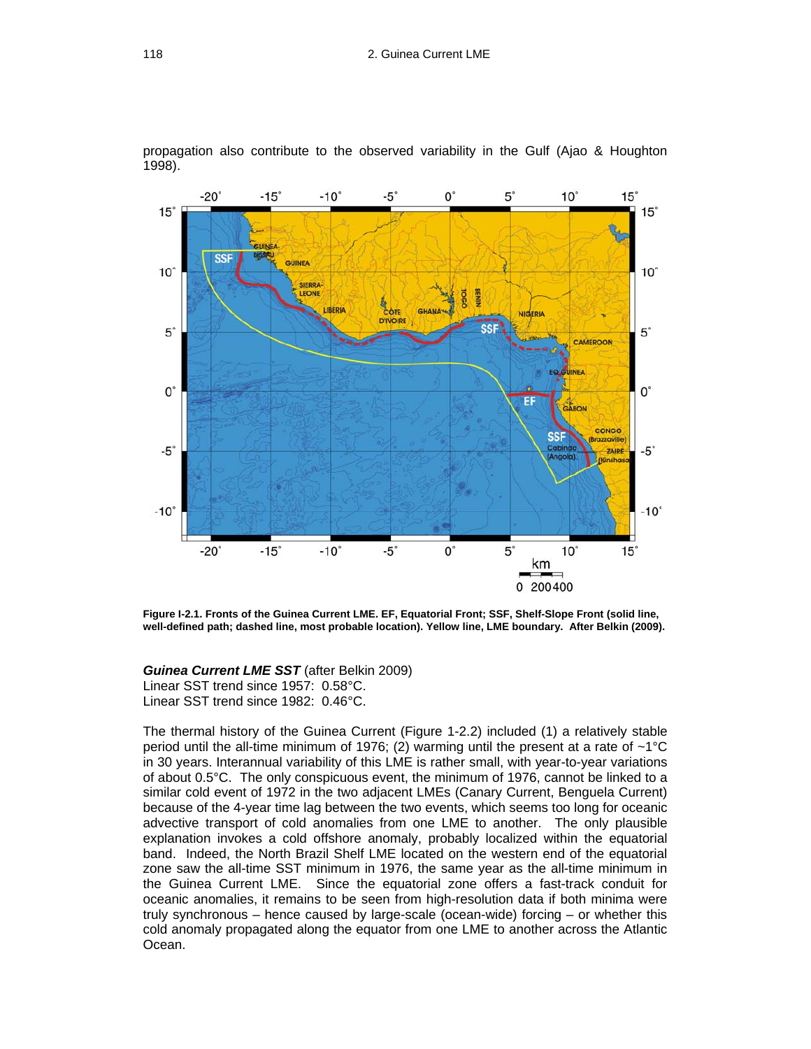propagation also contribute to the observed variability in the Gulf (Ajao & Houghton 1998).



**Figure I-2.1. Fronts of the Guinea Current LME. EF, Equatorial Front; SSF, Shelf-Slope Front (solid line, well-defined path; dashed line, most probable location). Yellow line, LME boundary. After Belkin (2009).**

*Guinea Current LME SST* (after Belkin 2009) Linear SST trend since 1957: 0.58°C.

Linear SST trend since 1982: 0.46°C.

The thermal history of the Guinea Current (Figure 1-2.2) included (1) a relatively stable period until the all-time minimum of 1976; (2) warming until the present at a rate of ~1°C in 30 years. Interannual variability of this LME is rather small, with year-to-year variations of about 0.5°C. The only conspicuous event, the minimum of 1976, cannot be linked to a similar cold event of 1972 in the two adjacent LMEs (Canary Current, Benguela Current) because of the 4-year time lag between the two events, which seems too long for oceanic advective transport of cold anomalies from one LME to another. The only plausible explanation invokes a cold offshore anomaly, probably localized within the equatorial band. Indeed, the North Brazil Shelf LME located on the western end of the equatorial zone saw the all-time SST minimum in 1976, the same year as the all-time minimum in the Guinea Current LME. Since the equatorial zone offers a fast-track conduit for oceanic anomalies, it remains to be seen from high-resolution data if both minima were truly synchronous – hence caused by large-scale (ocean-wide) forcing – or whether this cold anomaly propagated along the equator from one LME to another across the Atlantic Ocean.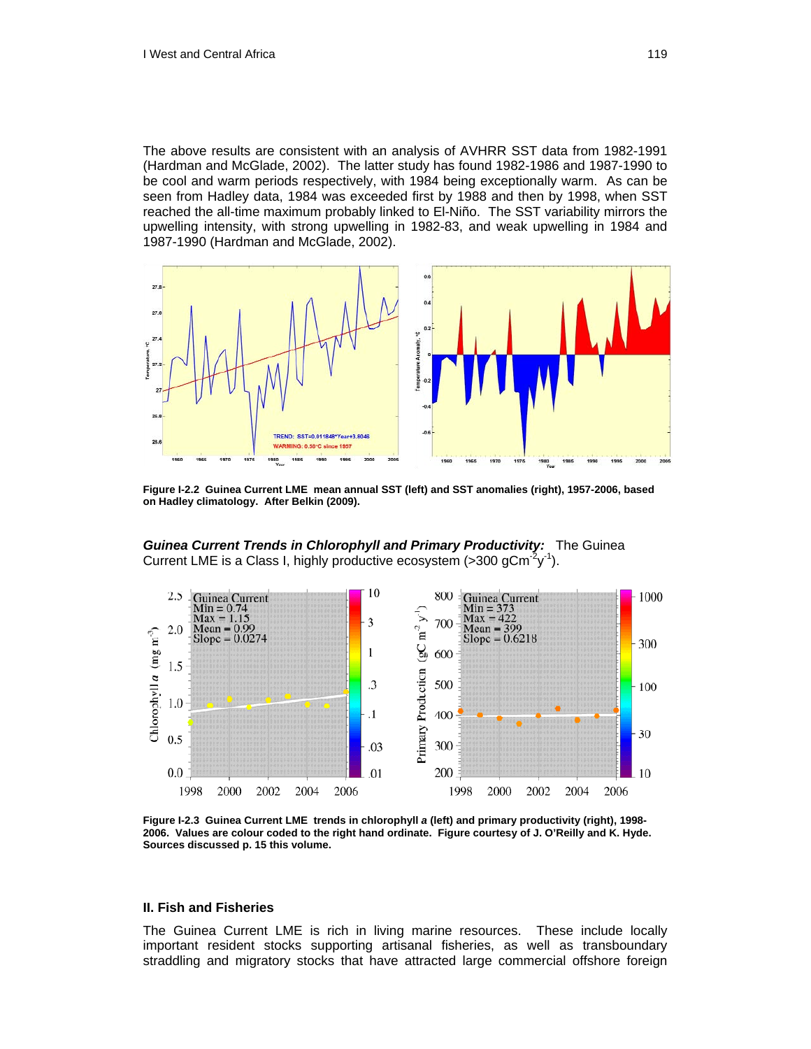The above results are consistent with an analysis of AVHRR SST data from 1982-1991 (Hardman and McGlade, 2002). The latter study has found 1982-1986 and 1987-1990 to be cool and warm periods respectively, with 1984 being exceptionally warm. As can be seen from Hadley data, 1984 was exceeded first by 1988 and then by 1998, when SST reached the all-time maximum probably linked to El-Niño. The SST variability mirrors the upwelling intensity, with strong upwelling in 1982-83, and weak upwelling in 1984 and 1987-1990 (Hardman and McGlade, 2002).



**Figure I-2.2 Guinea Current LME mean annual SST (left) and SST anomalies (right), 1957-2006, based on Hadley climatology. After Belkin (2009).** 

**Guinea Current Trends in Chlorophyll and Primary Productivity:** The Guinea Current LME is a Class I, highly productive ecosystem (>300 gCm<sup>-2</sup>y<sup>-1</sup>).



**Figure I-2.3 Guinea Current LME trends in chlorophyll** *a* **(left) and primary productivity (right), 1998- 2006. Values are colour coded to the right hand ordinate. Figure courtesy of J. O'Reilly and K. Hyde. Sources discussed p. 15 this volume.** 

#### **II. Fish and Fisheries**

The Guinea Current LME is rich in living marine resources. These include locally important resident stocks supporting artisanal fisheries, as well as transboundary straddling and migratory stocks that have attracted large commercial offshore foreign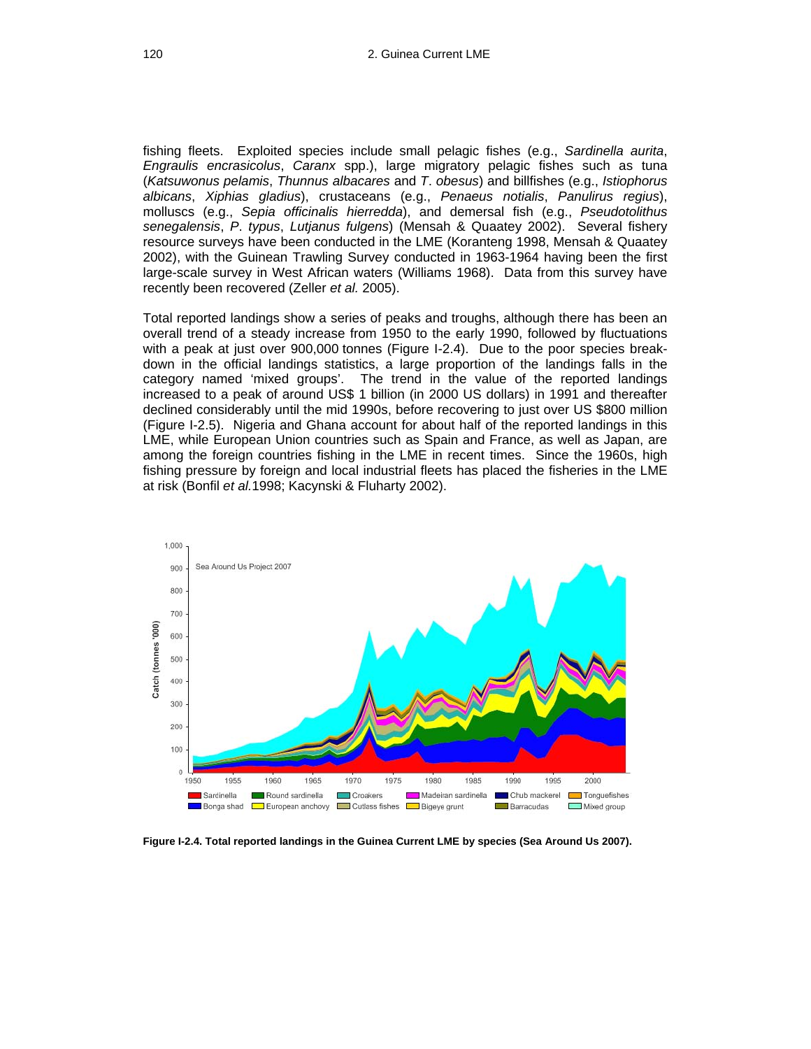fishing fleets. Exploited species include small pelagic fishes (e.g., *Sardinella aurita*, *Engraulis encrasicolus*, *Caranx* spp.), large migratory pelagic fishes such as tuna (*Katsuwonus pelamis*, *Thunnus albacares* and *T*. *obesus*) and billfishes (e.g., *Istiophorus albicans*, *Xiphias gladius*), crustaceans (e.g., *Penaeus notialis*, *Panulirus regius*), molluscs (e.g., *Sepia officinalis hierredda*), and demersal fish (e.g., *Pseudotolithus senegalensis*, *P*. *typus*, *Lutjanus fulgens*) (Mensah & Quaatey 2002). Several fishery resource surveys have been conducted in the LME (Koranteng 1998, Mensah & Quaatey 2002), with the Guinean Trawling Survey conducted in 1963-1964 having been the first large-scale survey in West African waters (Williams 1968). Data from this survey have recently been recovered (Zeller *et al.* 2005).

fishing pressure by foreign and local industrial fleets has placed the fisheries in the LME at risk (Bonfil *et al.*1998; Kacynski & Fluharty 2002). Total reported landings show a series of peaks and troughs, although there has been an overall trend of a steady increase from 1950 to the early 1990, followed by fluctuations with a peak at just over 900,000 tonnes (Figure I-2.4). Due to the poor species breakdown in the official landings statistics, a large proportion of the landings falls in the category named 'mixed groups'. The trend in the value of the reported landings increased to a peak of around US\$ 1 billion (in 2000 US dollars) in 1991 and thereafter declined considerably until the mid 1990s, before recovering to just over US \$800 million (Figure I-2.5). Nigeria and Ghana account for about half of the reported landings in this LME, while European Union countries such as Spain and France, as well as Japan, are among the foreign countries fishing in the LME in recent times. Since the 1960s, high



**Figure I-2.4. Total reported landings in the Guinea Current LME by species (Sea Around Us 2007).**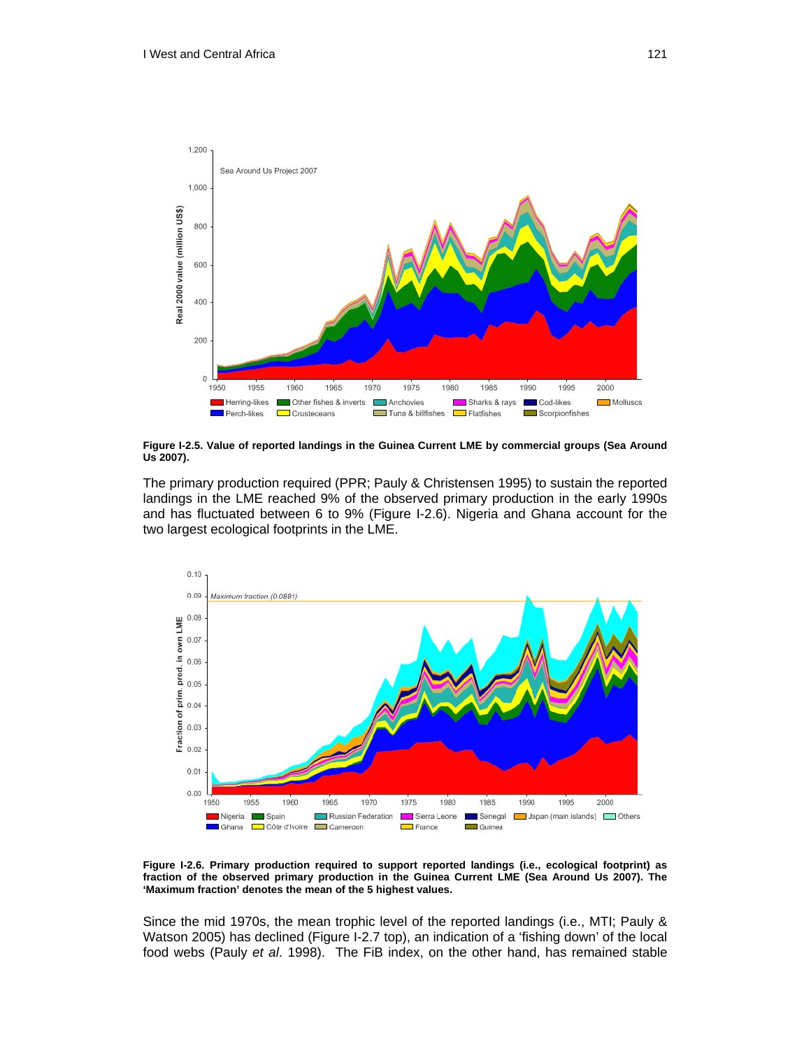

**Figure I-2.5. Value of reported landings in the Guinea Current LME by commercial groups (Sea Around Us 2007).** 

The primary production required (PPR; Pauly & Christensen 1995) to sustain the reported landings in the LME reached 9% of the observed primary production in the early 1990s and has fluctuated between 6 to 9% (Figure I-2.6). Nigeria and Ghana account for the two largest ecological footprints in the LME.



**Figure I-2.6. Primary production required to support reported landings (i.e., ecological footprint) as fraction of the observed primary production in the Guinea Current LME (Sea Around Us 2007). The 'Maximum fraction' denotes the mean of the 5 highest values.** 

Since the mid 1970s, the mean trophic level of the reported landings (i.e., MTI; Pauly & Watson 2005) has declined (Figure I-2.7 top), an indication of a 'fishing down' of the local food webs (Pauly *et al*. 1998). The FiB index, on the other hand, has remained stable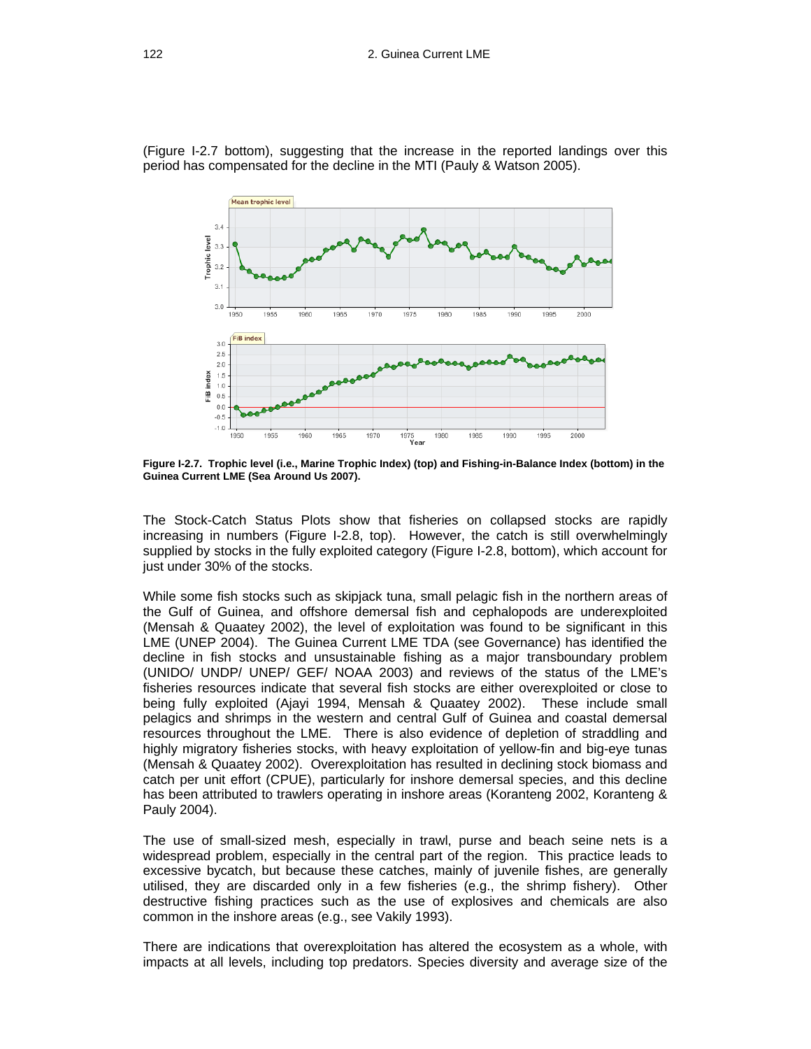(Figure I-2.7 bottom), suggesting that the increase in the reported landings over this period has compensated for the decline in the MTI (Pauly & Watson 2005).



**Figure I-2.7. Trophic level (i.e., Marine Trophic Index) (top) and Fishing-in-Balance Index (bottom) in the Guinea Current LME (Sea Around Us 2007).** 

The Stock-Catch Status Plots show that fisheries on collapsed stocks are rapidly increasing in numbers (Figure I-2.8, top). However, the catch is still overwhelmingly supplied by stocks in the fully exploited category (Figure I-2.8, bottom), which account for just under 30% of the stocks.

While some fish stocks such as skipjack tuna, small pelagic fish in the northern areas of the Gulf of Guinea, and offshore demersal fish and cephalopods are underexploited (Mensah & Quaatey 2002), the level of exploitation was found to be significant in this LME (UNEP 2004). The Guinea Current LME TDA (see Governance) has identified the decline in fish stocks and unsustainable fishing as a major transboundary problem (UNIDO/ UNDP/ UNEP/ GEF/ NOAA 2003) and reviews of the status of the LME's fisheries resources indicate that several fish stocks are either overexploited or close to being fully exploited (Ajayi 1994, Mensah & Quaatey 2002). These include small pelagics and shrimps in the western and central Gulf of Guinea and coastal demersal resources throughout the LME. There is also evidence of depletion of straddling and highly migratory fisheries stocks, with heavy exploitation of yellow-fin and big-eye tunas (Mensah & Quaatey 2002). Overexploitation has resulted in declining stock biomass and catch per unit effort (CPUE), particularly for inshore demersal species, and this decline has been attributed to trawlers operating in inshore areas (Koranteng 2002, Koranteng & Pauly 2004).

The use of small-sized mesh, especially in trawl, purse and beach seine nets is a widespread problem, especially in the central part of the region. This practice leads to excessive bycatch, but because these catches, mainly of juvenile fishes, are generally utilised, they are discarded only in a few fisheries (e.g., the shrimp fishery).Other destructive fishing practices such as the use of explosives and chemicals are also common in the inshore areas (e.g., see Vakily 1993).

There are indications that overexploitation has altered the ecosystem as a whole, with impacts at all levels, including top predators. Species diversity and average size of the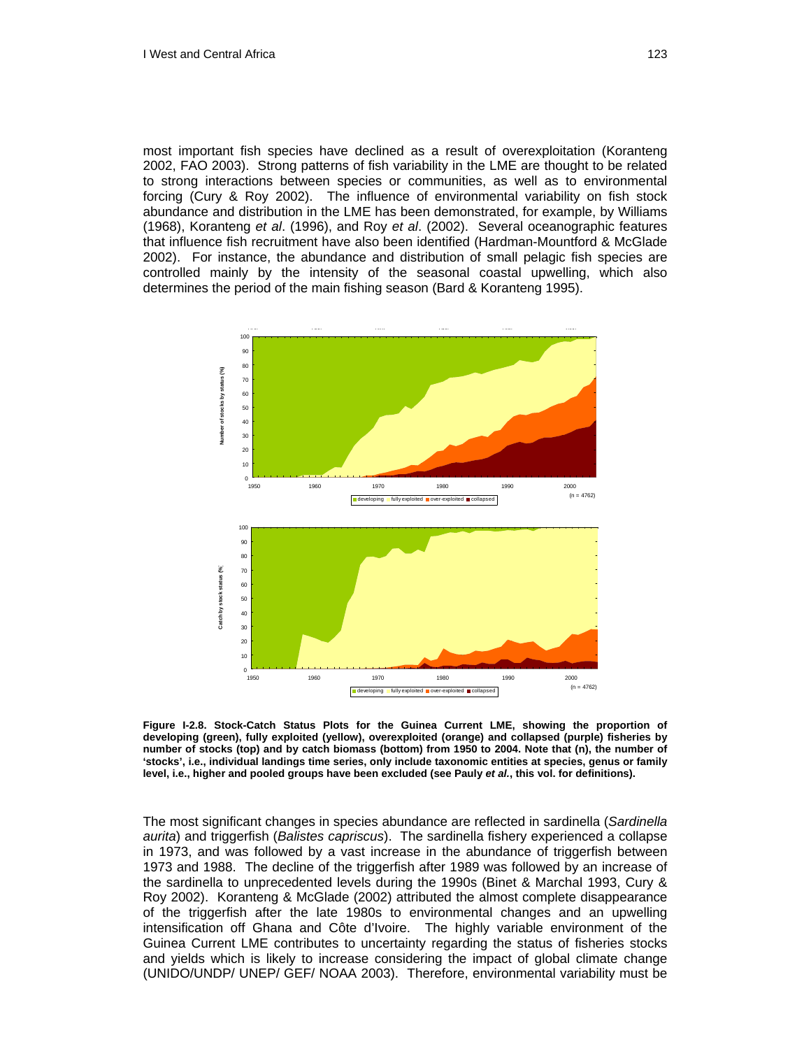most important fish species have declined as a result of overexploitation (Koranteng 2002, FAO 2003). Strong patterns of fish variability in the LME are thought to be related to strong interactions between species or communities, as well as to environmental forcing (Cury & Roy 2002). The influence of environmental variability on fish stock abundance and distribution in the LME has been demonstrated, for example, by Williams (1968), Koranteng *et al*. (1996), and Roy *et al*. (2002). Several oceanographic features that influence fish recruitment have also been identified (Hardman-Mountford & McGlade 2002). For instance, the abundance and distribution of small pelagic fish species are controlled mainly by the intensity of the seasonal coastal upwelling, which also determines the period of the main fishing season (Bard & Koranteng 1995).



**Figure I-2.8. Stock-Catch Status Plots for the Guinea Current LME, showing the proportion of developing (green), fully exploited (yellow), overexploited (orange) and collapsed (purple) fisheries by number of stocks (top) and by catch biomass (bottom) from 1950 to 2004. Note that (n), the number of 'stocks', i.e., individual landings time series, only include taxonomic entities at species, genus or family level, i.e., higher and pooled groups have been excluded (see Pauly** *et al.***, this vol. for definitions).** 

The most significant changes in species abundance are reflected in sardinella (*Sardinella aurita*) and triggerfish (*Balistes capriscus*). The sardinella fishery experienced a collapse in 1973, and was followed by a vast increase in the abundance of triggerfish between 1973 and 1988. The decline of the triggerfish after 1989 was followed by an increase of the sardinella to unprecedented levels during the 1990s (Binet & Marchal 1993, Cury & Roy 2002). Koranteng & McGlade (2002) attributed the almost complete disappearance of the triggerfish after the late 1980s to environmental changes and an upwelling intensification off Ghana and Côte d'Ivoire. The highly variable environment of the Guinea Current LME contributes to uncertainty regarding the status of fisheries stocks and yields which is likely to increase considering the impact of global climate change (UNIDO/UNDP/ UNEP/ GEF/ NOAA 2003). Therefore, environmental variability must be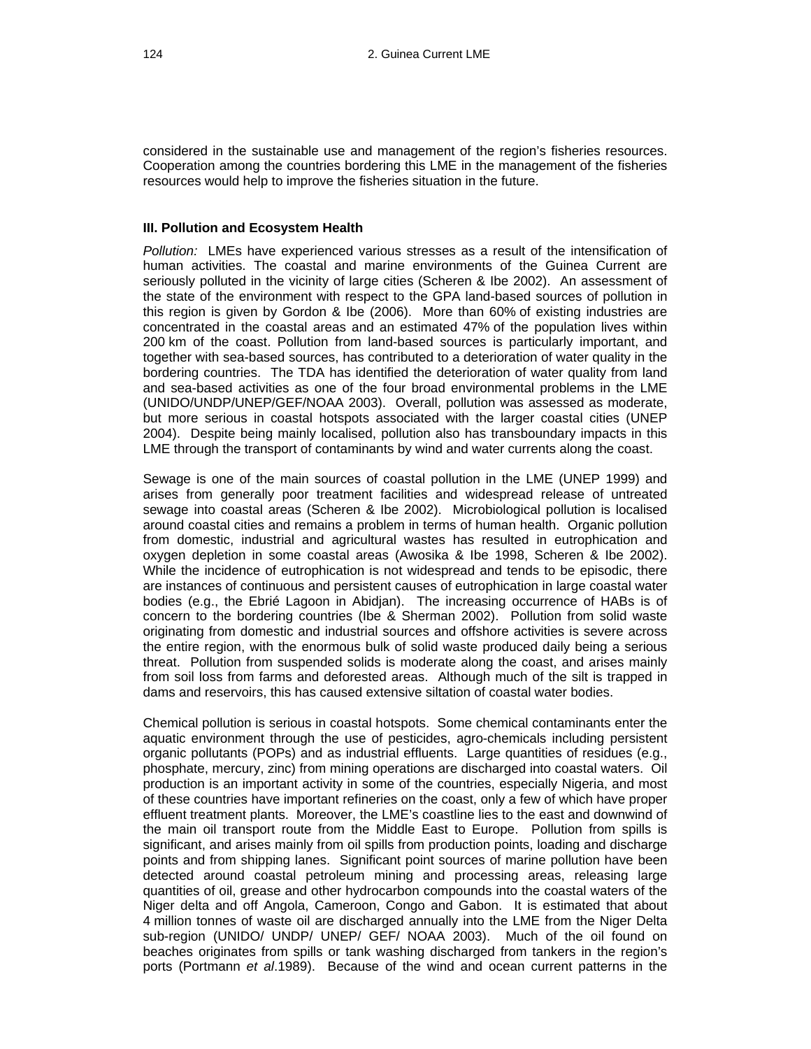considered in the sustainable use and management of the region's fisheries resources. Cooperation among the countries bordering this LME in the management of the fisheries resources would help to improve the fisheries situation in the future.

#### **III. Pollution and Ecosystem Health**

*Pollution:* LMEs have experienced various stresses as a result of the intensification of human activities. The coastal and marine environments of the Guinea Current are seriously polluted in the vicinity of large cities (Scheren & Ibe 2002). An assessment of the state of the environment with respect to the GPA land-based sources of pollution in this region is given by Gordon & Ibe (2006). More than 60% of existing industries are concentrated in the coastal areas and an estimated 47% of the population lives within 200 km of the coast. Pollution from land-based sources is particularly important, and together with sea-based sources, has contributed to a deterioration of water quality in the bordering countries. The TDA has identified the deterioration of water quality from land and sea-based activities as one of the four broad environmental problems in the LME (UNIDO/UNDP/UNEP/GEF/NOAA 2003). Overall, pollution was assessed as moderate, but more serious in coastal hotspots associated with the larger coastal cities (UNEP 2004). Despite being mainly localised, pollution also has transboundary impacts in this LME through the transport of contaminants by wind and water currents along the coast.

Sewage is one of the main sources of coastal pollution in the LME (UNEP 1999) and arises from generally poor treatment facilities and widespread release of untreated sewage into coastal areas (Scheren & Ibe 2002). Microbiological pollution is localised around coastal cities and remains a problem in terms of human health. Organic pollution from domestic, industrial and agricultural wastes has resulted in eutrophication and oxygen depletion in some coastal areas (Awosika & Ibe 1998, Scheren & Ibe 2002). While the incidence of eutrophication is not widespread and tends to be episodic, there are instances of continuous and persistent causes of eutrophication in large coastal water bodies (e.g., the Ebrié Lagoon in Abidjan). The increasing occurrence of HABs is of concern to the bordering countries (Ibe & Sherman 2002). Pollution from solid waste originating from domestic and industrial sources and offshore activities is severe across the entire region, with the enormous bulk of solid waste produced daily being a serious threat. Pollution from suspended solids is moderate along the coast, and arises mainly from soil loss from farms and deforested areas. Although much of the silt is trapped in dams and reservoirs, this has caused extensive siltation of coastal water bodies.

Chemical pollution is serious in coastal hotspots. Some chemical contaminants enter the aquatic environment through the use of pesticides, agro-chemicals including persistent organic pollutants (POPs) and as industrial effluents. Large quantities of residues (e.g., phosphate, mercury, zinc) from mining operations are discharged into coastal waters. Oil production is an important activity in some of the countries, especially Nigeria, and most of these countries have important refineries on the coast, only a few of which have proper effluent treatment plants. Moreover, the LME's coastline lies to the east and downwind of the main oil transport route from the Middle East to Europe. Pollution from spills is significant, and arises mainly from oil spills from production points, loading and discharge points and from shipping lanes. Significant point sources of marine pollution have been detected around coastal petroleum mining and processing areas, releasing large quantities of oil, grease and other hydrocarbon compounds into the coastal waters of the Niger delta and off Angola, Cameroon, Congo and Gabon. It is estimated that about 4 million tonnes of waste oil are discharged annually into the LME from the Niger Delta sub-region (UNIDO/ UNDP/ UNEP/ GEF/ NOAA 2003).Much of the oil found on beaches originates from spills or tank washing discharged from tankers in the region's ports (Portmann *et al*.1989). Because of the wind and ocean current patterns in the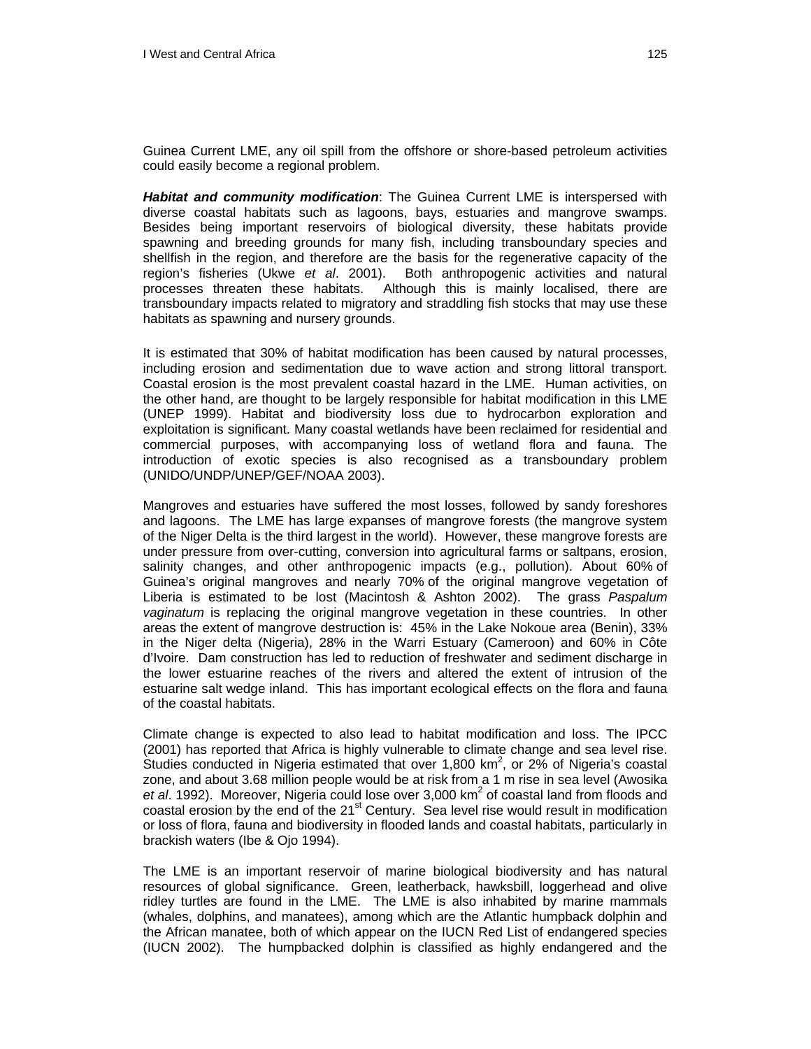Guinea Current LME, any oil spill from the offshore or shore-based petroleum activities could easily become a regional problem.

*Habitat and community modification*: The Guinea Current LME is interspersed with diverse coastal habitats such as lagoons, bays, estuaries and mangrove swamps. Besides being important reservoirs of biological diversity, these habitats provide spawning and breeding grounds for many fish, including transboundary species and shellfish in the region, and therefore are the basis for the regenerative capacity of the region's fisheries (Ukwe *et al*. 2001). Both anthropogenic activities and natural processes threaten these habitats. Although this is mainly localised, there are transboundary impacts related to migratory and straddling fish stocks that may use these habitats as spawning and nursery grounds.

It is estimated that 30% of habitat modification has been caused by natural processes, including erosion and sedimentation due to wave action and strong littoral transport. Coastal erosion is the most prevalent coastal hazard in the LME. Human activities, on the other hand, are thought to be largely responsible for habitat modification in this LME (UNEP 1999). Habitat and biodiversity loss due to hydrocarbon exploration and exploitation is significant. Many coastal wetlands have been reclaimed for residential and commercial purposes, with accompanying loss of wetland flora and fauna. The introduction of exotic species is also recognised as a transboundary problem (UNIDO/UNDP/UNEP/GEF/NOAA 2003).

Mangroves and estuaries have suffered the most losses, followed by sandy foreshores and lagoons. The LME has large expanses of mangrove forests (the mangrove system of the Niger Delta is the third largest in the world). However, these mangrove forests are under pressure from over-cutting, conversion into agricultural farms or saltpans, erosion, salinity changes, and other anthropogenic impacts (e.g., pollution). About 60% of Guinea's original mangroves and nearly 70% of the original mangrove vegetation of Liberia is estimated to be lost (Macintosh & Ashton 2002). The grass *Paspalum vaginatum* is replacing the original mangrove vegetation in these countries. In other areas the extent of mangrove destruction is: 45% in the Lake Nokoue area (Benin), 33% in the Niger delta (Nigeria), 28% in the Warri Estuary (Cameroon) and 60% in Côte d'Ivoire. Dam construction has led to reduction of freshwater and sediment discharge in the lower estuarine reaches of the rivers and altered the extent of intrusion of the estuarine salt wedge inland. This has important ecological effects on the flora and fauna of the coastal habitats.

Climate change is expected to also lead to habitat modification and loss. The IPCC (2001) has reported that Africa is highly vulnerable to climate change and sea level rise. Studies conducted in Nigeria estimated that over 1,800  $km^2$ , or 2% of Nigeria's coastal zone, and about 3.68 million people would be at risk from a 1 m rise in sea level (Awosika et al. 1992). Moreover, Nigeria could lose over 3,000 km<sup>2</sup> of coastal land from floods and coastal erosion by the end of the 21<sup>st</sup> Century. Sea level rise would result in modification or loss of flora, fauna and biodiversity in flooded lands and coastal habitats, particularly in brackish waters (Ibe & Ojo 1994).

The LME is an important reservoir of marine biological biodiversity and has natural resources of global significance. Green, leatherback, hawksbill, loggerhead and olive ridley turtles are found in the LME. The LME is also inhabited by marine mammals (whales, dolphins, and manatees), among which are the Atlantic humpback dolphin and the African manatee, both of which appear on the IUCN Red List of endangered species (IUCN 2002). The humpbacked dolphin is classified as highly endangered and the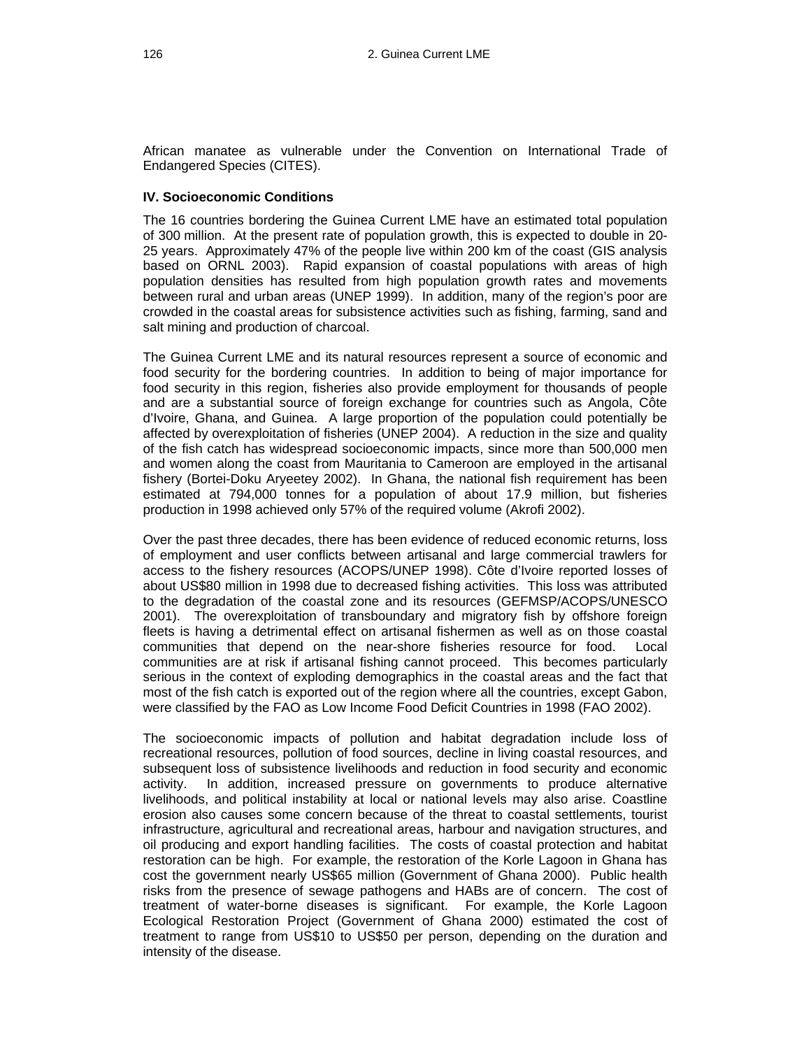African manatee as vulnerable under the Convention on International Trade of Endangered Species (CITES).

#### **IV. Socioeconomic Conditions**

The 16 countries bordering the Guinea Current LME have an estimated total population of 300 million. At the present rate of population growth, this is expected to double in 20- 25 years. Approximately 47% of the people live within 200 km of the coast (GIS analysis based on ORNL 2003). Rapid expansion of coastal populations with areas of high population densities has resulted from high population growth rates and movements between rural and urban areas (UNEP 1999). In addition, many of the region's poor are crowded in the coastal areas for subsistence activities such as fishing, farming, sand and salt mining and production of charcoal.

The Guinea Current LME and its natural resources represent a source of economic and food security for the bordering countries. In addition to being of major importance for food security in this region, fisheries also provide employment for thousands of people and are a substantial source of foreign exchange for countries such as Angola, Côte d'Ivoire, Ghana, and Guinea. A large proportion of the population could potentially be affected by overexploitation of fisheries (UNEP 2004). A reduction in the size and quality of the fish catch has widespread socioeconomic impacts, since more than 500,000 men and women along the coast from Mauritania to Cameroon are employed in the artisanal fishery (Bortei-Doku Aryeetey 2002). In Ghana, the national fish requirement has been estimated at 794,000 tonnes for a population of about 17.9 million, but fisheries production in 1998 achieved only 57% of the required volume (Akrofi 2002).

Over the past three decades, there has been evidence of reduced economic returns, loss of employment and user conflicts between artisanal and large commercial trawlers for access to the fishery resources (ACOPS/UNEP 1998). Côte d'Ivoire reported losses of about US\$80 million in 1998 due to decreased fishing activities. This loss was attributed to the degradation of the coastal zone and its resources (GEFMSP/ACOPS/UNESCO 2001). The overexploitation of transboundary and migratory fish by offshore foreign fleets is having a detrimental effect on artisanal fishermen as well as on those coastal communities that depend on the near-shore fisheries resource for food. Local communities are at risk if artisanal fishing cannot proceed. This becomes particularly serious in the context of exploding demographics in the coastal areas and the fact that most of the fish catch is exported out of the region where all the countries, except Gabon, were classified by the FAO as Low Income Food Deficit Countries in 1998 (FAO 2002).

The socioeconomic impacts of pollution and habitat degradation include loss of recreational resources, pollution of food sources, decline in living coastal resources, and subsequent loss of subsistence livelihoods and reduction in food security and economic activity. In addition, increased pressure on governments to produce alternative livelihoods, and political instability at local or national levels may also arise. Coastline erosion also causes some concern because of the threat to coastal settlements, tourist infrastructure, agricultural and recreational areas, harbour and navigation structures, and oil producing and export handling facilities. The costs of coastal protection and habitat restoration can be high. For example, the restoration of the Korle Lagoon in Ghana has cost the government nearly US\$65 million (Government of Ghana 2000). Public health risks from the presence of sewage pathogens and HABs are of concern. The cost of treatment of water-borne diseases is significant. For example, the Korle Lagoon Ecological Restoration Project (Government of Ghana 2000) estimated the cost of treatment to range from US\$10 to US\$50 per person, depending on the duration and intensity of the disease.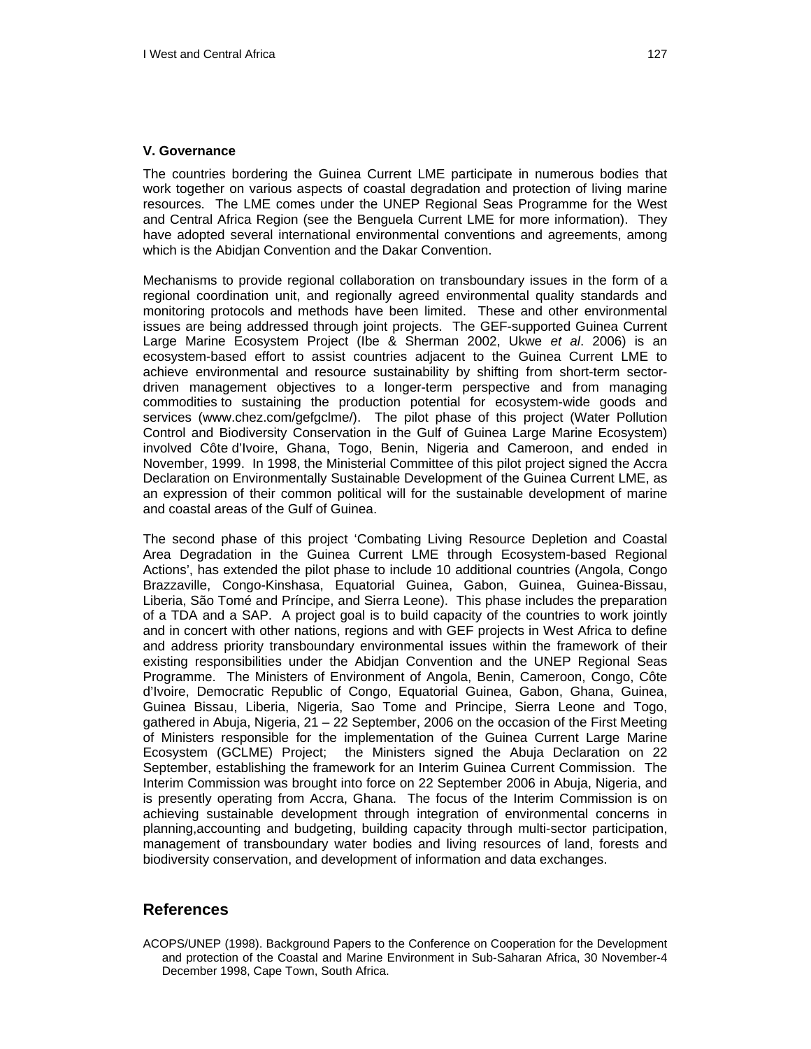#### **V. Governance**

The countries bordering the Guinea Current LME participate in numerous bodies that work together on various aspects of coastal degradation and protection of living marine resources. The LME comes under the UNEP Regional Seas Programme for the West and Central Africa Region (see the Benguela Current LME for more information). They have adopted several international environmental conventions and agreements, among which is the Abidjan Convention and the Dakar Convention.

Mechanisms to provide regional collaboration on transboundary issues in the form of a regional coordination unit, and regionally agreed environmental quality standards and monitoring protocols and methods have been limited. These and other environmental issues are being addressed through joint projects. The GEF-supported Guinea Current Large Marine Ecosystem Project (Ibe & Sherman 2002, Ukwe *et al*. 2006) is an ecosystem-based effort to assist countries adjacent to the Guinea Current LME to achieve environmental and resource sustainability by shifting from short-term sectordriven management objectives to a longer-term perspective and from managing commodities to sustaining the production potential for ecosystem-wide goods and services (www.chez.com/gefgclme/). The pilot phase of this project (Water Pollution Control and Biodiversity Conservation in the Gulf of Guinea Large Marine Ecosystem) involved Côte d'Ivoire, Ghana, Togo, Benin, Nigeria and Cameroon, and ended in November, 1999. In 1998, the Ministerial Committee of this pilot project signed the Accra Declaration on Environmentally Sustainable Development of the Guinea Current LME, as an expression of their common political will for the sustainable development of marine and coastal areas of the Gulf of Guinea.

The second phase of this project 'Combating Living Resource Depletion and Coastal Area Degradation in the Guinea Current LME through Ecosystem-based Regional Actions', has extended the pilot phase to include 10 additional countries (Angola, Congo Brazzaville, Congo-Kinshasa, Equatorial Guinea, Gabon, Guinea, Guinea-Bissau, Liberia, São Tomé and Príncipe, and Sierra Leone). This phase includes the preparation of a TDA and a SAP. A project goal is to build capacity of the countries to work jointly and in concert with other nations, regions and with GEF projects in West Africa to define and address priority transboundary environmental issues within the framework of their existing responsibilities under the Abidjan Convention and the UNEP Regional Seas Programme. The Ministers of Environment of Angola, Benin, Cameroon, Congo, Côte d'Ivoire, Democratic Republic of Congo, Equatorial Guinea, Gabon, Ghana, Guinea, Guinea Bissau, Liberia, Nigeria, Sao Tome and Principe, Sierra Leone and Togo, gathered in Abuja, Nigeria, 21 – 22 September, 2006 on the occasion of the First Meeting of Ministers responsible for the implementation of the Guinea Current Large Marine Ecosystem (GCLME) Project; the Ministers signed the Abuja Declaration on 22 September, establishing the framework for an Interim Guinea Current Commission. The Interim Commission was brought into force on 22 September 2006 in Abuja, Nigeria, and is presently operating from Accra, Ghana. The focus of the Interim Commission is on achieving sustainable development through integration of environmental concerns in planning,accounting and budgeting, building capacity through multi-sector participation, management of transboundary water bodies and living resources of land, forests and biodiversity conservation, and development of information and data exchanges.

## **References**

ACOPS/UNEP (1998). Background Papers to the Conference on Cooperation for the Development and protection of the Coastal and Marine Environment in Sub-Saharan Africa, 30 November-4 December 1998, Cape Town, South Africa.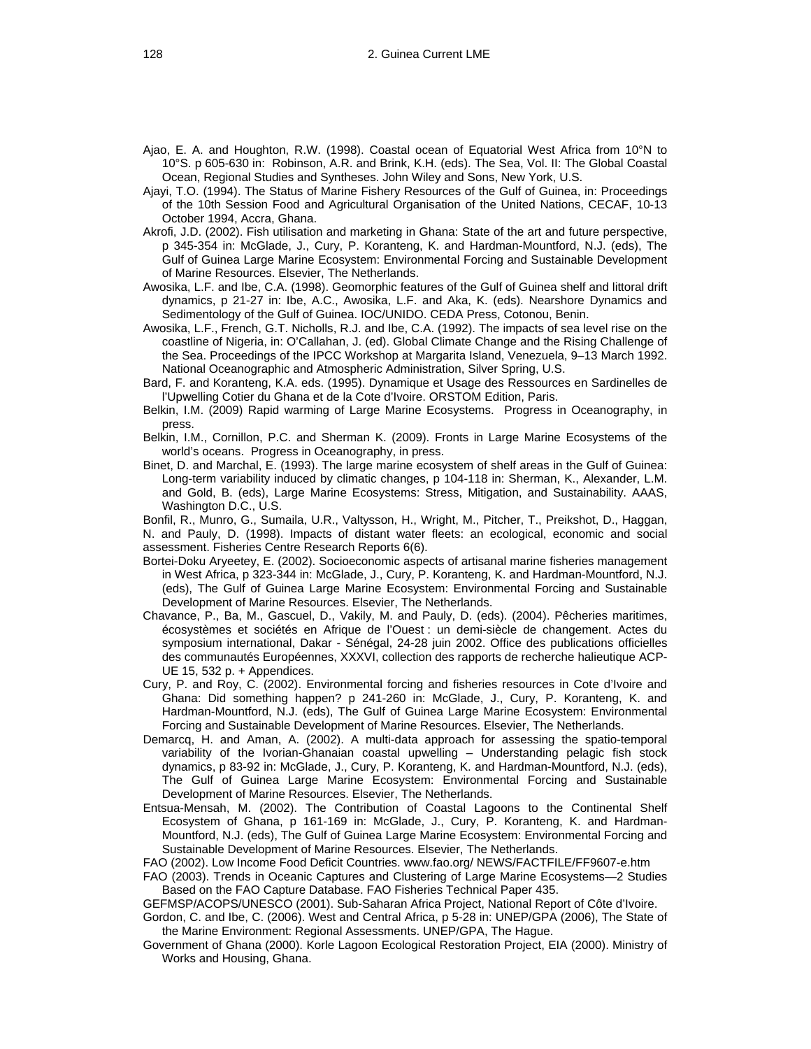- Ajao, E. A. and Houghton, R.W. (1998). Coastal ocean of Equatorial West Africa from 10°N to 10°S. p 605-630 in: Robinson, A.R. and Brink, K.H. (eds). The Sea, Vol. II: The Global Coastal Ocean, Regional Studies and Syntheses. John Wiley and Sons, New York, U.S.
- Ajayi, T.O. (1994). The Status of Marine Fishery Resources of the Gulf of Guinea, in: Proceedings of the 10th Session Food and Agricultural Organisation of the United Nations, CECAF, 10-13 October 1994, Accra, Ghana.
- Akrofi, J.D. (2002). Fish utilisation and marketing in Ghana: State of the art and future perspective, p 345-354 in: McGlade, J., Cury, P. Koranteng, K. and Hardman-Mountford, N.J. (eds), The Gulf of Guinea Large Marine Ecosystem: Environmental Forcing and Sustainable Development of Marine Resources. Elsevier, The Netherlands.
- Awosika, L.F. and Ibe, C.A. (1998). Geomorphic features of the Gulf of Guinea shelf and littoral drift dynamics, p 21-27 in: Ibe, A.C., Awosika, L.F. and Aka, K. (eds). Nearshore Dynamics and Sedimentology of the Gulf of Guinea. IOC/UNIDO. CEDA Press, Cotonou, Benin.
- Awosika, L.F., French, G.T. Nicholls, R.J. and Ibe, C.A. (1992). The impacts of sea level rise on the coastline of Nigeria, in: O'Callahan, J. (ed). Global Climate Change and the Rising Challenge of the Sea. Proceedings of the IPCC Workshop at Margarita Island, Venezuela, 9–13 March 1992. National Oceanographic and Atmospheric Administration, Silver Spring, U.S.
- Bard, F. and Koranteng, K.A. eds. (1995). Dynamique et Usage des Ressources en Sardinelles de l'Upwelling Cotier du Ghana et de la Cote d'Ivoire. ORSTOM Edition, Paris.
- Belkin, I.M. (2009) Rapid warming of Large Marine Ecosystems. Progress in Oceanography, in press.
- Belkin, I.M., Cornillon, P.C. and Sherman K. (2009). Fronts in Large Marine Ecosystems of the world's oceans. Progress in Oceanography, in press.
- Binet, D. and Marchal, E. (1993). The large marine ecosystem of shelf areas in the Gulf of Guinea: Long-term variability induced by climatic changes, p 104-118 in: Sherman, K., Alexander, L.M. and Gold, B. (eds), Large Marine Ecosystems: Stress, Mitigation, and Sustainability. AAAS, Washington D.C., U.S.
- Bonfil, R., Munro, G., Sumaila, U.R., Valtysson, H., Wright, M., Pitcher, T., Preikshot, D., Haggan, N. and Pauly, D. (1998). Impacts of distant water fleets: an ecological, economic and social assessment. Fisheries Centre Research Reports 6(6).
- Bortei-Doku Aryeetey, E. (2002). Socioeconomic aspects of artisanal marine fisheries management in West Africa, p 323-344 in: McGlade, J., Cury, P. Koranteng, K. and Hardman-Mountford, N.J. (eds), The Gulf of Guinea Large Marine Ecosystem: Environmental Forcing and Sustainable Development of Marine Resources. Elsevier, The Netherlands.
- Chavance, P., Ba, M., Gascuel, D., Vakily, M. and Pauly, D. (eds). (2004). Pêcheries maritimes, écosystèmes et sociétés en Afrique de l'Ouest : un demi-siècle de changement. Actes du symposium international, Dakar - Sénégal, 24-28 juin 2002. Office des publications officielles des communautés Européennes, XXXVI, collection des rapports de recherche halieutique ACP-UE 15, 532 p. + Appendices.
- Cury, P. and Roy, C. (2002). Environmental forcing and fisheries resources in Cote d'Ivoire and Ghana: Did something happen? p 241-260 in: McGlade, J., Cury, P. Koranteng, K. and Hardman-Mountford, N.J. (eds), The Gulf of Guinea Large Marine Ecosystem: Environmental Forcing and Sustainable Development of Marine Resources. Elsevier, The Netherlands.
- Demarcq, H. and Aman, A. (2002). A multi-data approach for assessing the spatio-temporal variability of the Ivorian-Ghanaian coastal upwelling – Understanding pelagic fish stock dynamics, p 83-92 in: McGlade, J., Cury, P. Koranteng, K. and Hardman-Mountford, N.J. (eds), The Gulf of Guinea Large Marine Ecosystem: Environmental Forcing and Sustainable Development of Marine Resources. Elsevier, The Netherlands.
- Entsua-Mensah, M. (2002). The Contribution of Coastal Lagoons to the Continental Shelf Ecosystem of Ghana, p 161-169 in: McGlade, J., Cury, P. Koranteng, K. and Hardman-Mountford, N.J. (eds), The Gulf of Guinea Large Marine Ecosystem: Environmental Forcing and Sustainable Development of Marine Resources. Elsevier, The Netherlands.
- FAO (2002). Low Income Food Deficit Countries. www.fao.org/ NEWS/FACTFILE/FF9607-e.htm
- FAO (2003). Trends in Oceanic Captures and Clustering of Large Marine Ecosystems—2 Studies Based on the FAO Capture Database. FAO Fisheries Technical Paper 435.

GEFMSP/ACOPS/UNESCO (2001). Sub-Saharan Africa Project, National Report of Côte d'Ivoire.

Gordon, C. and Ibe, C. (2006). West and Central Africa, p 5-28 in: UNEP/GPA (2006), The State of the Marine Environment: Regional Assessments. UNEP/GPA, The Hague.

Government of Ghana (2000). Korle Lagoon Ecological Restoration Project, EIA (2000). Ministry of Works and Housing, Ghana.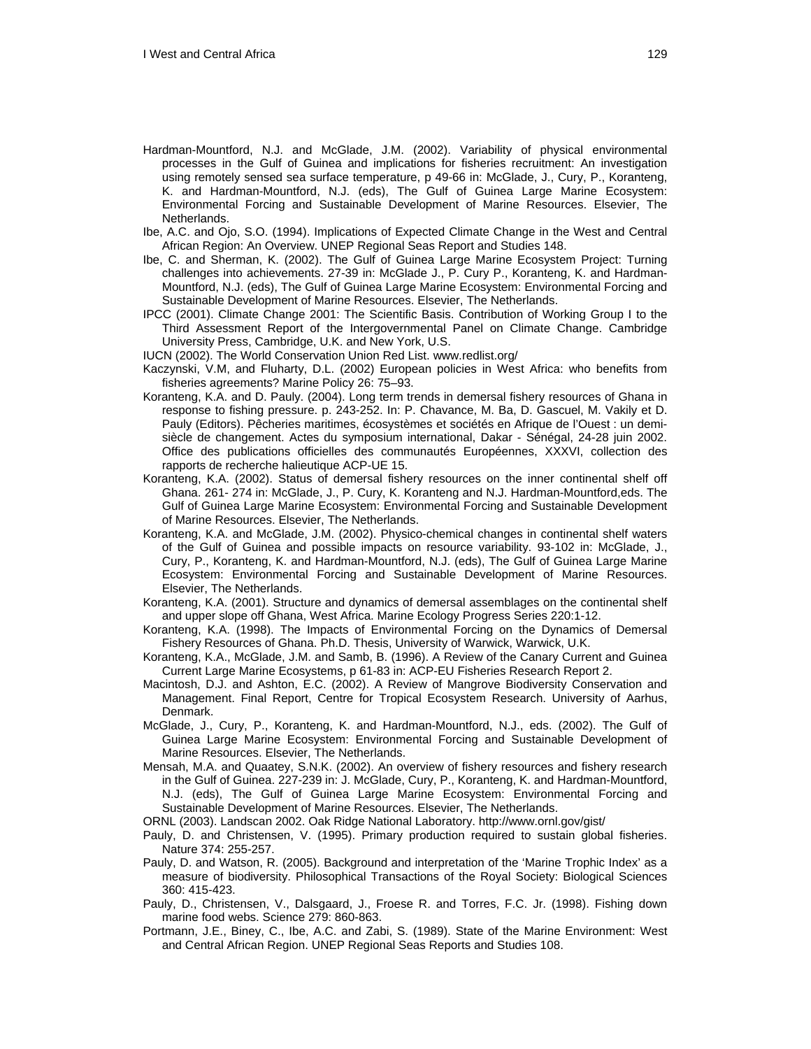- Hardman-Mountford, N.J. and McGlade, J.M. (2002). Variability of physical environmental processes in the Gulf of Guinea and implications for fisheries recruitment: An investigation using remotely sensed sea surface temperature, p 49-66 in: McGlade, J., Cury, P., Koranteng, K. and Hardman-Mountford, N.J. (eds), The Gulf of Guinea Large Marine Ecosystem: Environmental Forcing and Sustainable Development of Marine Resources. Elsevier, The Netherlands.
- Ibe, A.C. and Ojo, S.O. (1994). Implications of Expected Climate Change in the West and Central African Region: An Overview. UNEP Regional Seas Report and Studies 148.
- Ibe, C. and Sherman, K. (2002). The Gulf of Guinea Large Marine Ecosystem Project: Turning challenges into achievements. 27-39 in: McGlade J., P. Cury P., Koranteng, K. and Hardman-Mountford, N.J. (eds), The Gulf of Guinea Large Marine Ecosystem: Environmental Forcing and Sustainable Development of Marine Resources. Elsevier, The Netherlands.
- IPCC (2001). Climate Change 2001: The Scientific Basis. Contribution of Working Group I to the Third Assessment Report of the Intergovernmental Panel on Climate Change. Cambridge University Press, Cambridge, U.K. and New York, U.S.
- IUCN (2002). The World Conservation Union Red List. www.redlist.org/
- Kaczynski, V.M, and Fluharty, D.L. (2002) European policies in West Africa: who benefits from fisheries agreements? Marine Policy 26: 75–93.
- Koranteng, K.A. and D. Pauly. (2004). Long term trends in demersal fishery resources of Ghana in response to fishing pressure. p. 243-252. In: P. Chavance, M. Ba, D. Gascuel, M. Vakily et D. Pauly (Editors). Pêcheries maritimes, écosystèmes et sociétés en Afrique de l'Ouest : un demisiècle de changement. Actes du symposium international, Dakar - Sénégal, 24-28 juin 2002. Office des publications officielles des communautés Européennes, XXXVI, collection des rapports de recherche halieutique ACP-UE 15.
- Koranteng, K.A. (2002). Status of demersal fishery resources on the inner continental shelf off Ghana. 261- 274 in: McGlade, J., P. Cury, K. Koranteng and N.J. Hardman-Mountford,eds. The Gulf of Guinea Large Marine Ecosystem: Environmental Forcing and Sustainable Development of Marine Resources. Elsevier, The Netherlands.
- Koranteng, K.A. and McGlade, J.M. (2002). Physico-chemical changes in continental shelf waters of the Gulf of Guinea and possible impacts on resource variability. 93-102 in: McGlade, J., Cury, P., Koranteng, K. and Hardman-Mountford, N.J. (eds), The Gulf of Guinea Large Marine Ecosystem: Environmental Forcing and Sustainable Development of Marine Resources. Elsevier, The Netherlands.
- Koranteng, K.A. (2001). Structure and dynamics of demersal assemblages on the continental shelf and upper slope off Ghana, West Africa. Marine Ecology Progress Series 220:1-12.
- Koranteng, K.A. (1998). The Impacts of Environmental Forcing on the Dynamics of Demersal Fishery Resources of Ghana. Ph.D. Thesis, University of Warwick, Warwick, U.K.
- Koranteng, K.A., McGlade, J.M. and Samb, B. (1996). A Review of the Canary Current and Guinea Current Large Marine Ecosystems, p 61-83 in: ACP-EU Fisheries Research Report 2.
- Macintosh, D.J. and Ashton, E.C. (2002). A Review of Mangrove Biodiversity Conservation and Management. Final Report, Centre for Tropical Ecosystem Research. University of Aarhus, Denmark.
- McGlade, J., Cury, P., Koranteng, K. and Hardman-Mountford, N.J., eds. (2002). The Gulf of Guinea Large Marine Ecosystem: Environmental Forcing and Sustainable Development of Marine Resources. Elsevier, The Netherlands.
- Mensah, M.A. and Quaatey, S.N.K. (2002). An overview of fishery resources and fishery research in the Gulf of Guinea. 227-239 in: J. McGlade, Cury, P., Koranteng, K. and Hardman-Mountford, N.J. (eds), The Gulf of Guinea Large Marine Ecosystem: Environmental Forcing and Sustainable Development of Marine Resources. Elsevier, The Netherlands.
- ORNL (2003). Landscan 2002. Oak Ridge National Laboratory. http://www.ornl.gov/gist/
- Pauly, D. and Christensen, V. (1995). Primary production required to sustain global fisheries. Nature 374: 255-257.
- Pauly, D. and Watson, R. (2005). Background and interpretation of the 'Marine Trophic Index' as a measure of biodiversity. Philosophical Transactions of the Royal Society: Biological Sciences 360: 415-423.
- Pauly, D., Christensen, V., Dalsgaard, J., Froese R. and Torres, F.C. Jr. (1998). Fishing down marine food webs. Science 279: 860-863.
- Portmann, J.E., Biney, C., Ibe, A.C. and Zabi, S. (1989). State of the Marine Environment: West and Central African Region. UNEP Regional Seas Reports and Studies 108.